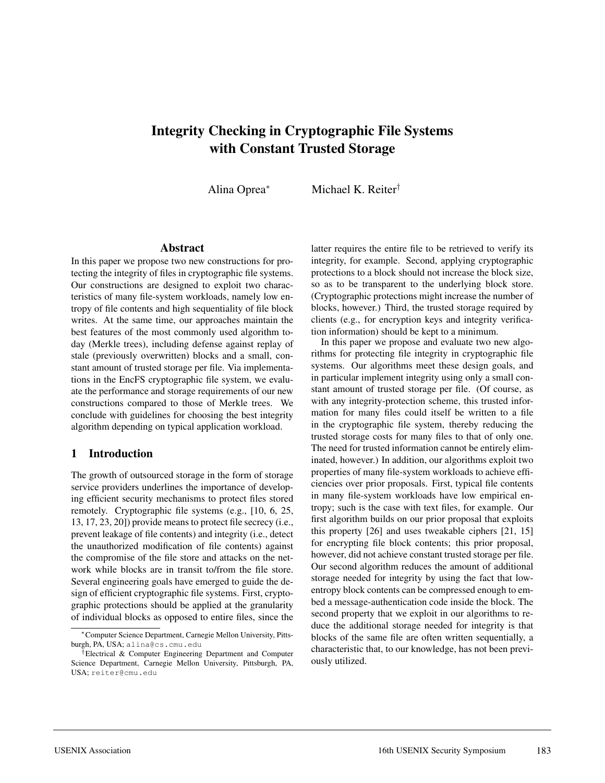# **Integrity Checking in Cryptographic File Systems with Constant Trusted Storage**

Alina Oprea<sup>∗</sup> Michael K. Reiter†

#### **Abstract**

In this paper we propose two new constructions for protecting the integrity of files in cryptographic file systems. Our constructions are designed to exploit two characteristics of many file-system workloads, namely low entropy of file contents and high sequentiality of file block writes. At the same time, our approaches maintain the best features of the most commonly used algorithm today (Merkle trees), including defense against replay of stale (previously overwritten) blocks and a small, constant amount of trusted storage per file. Via implementations in the EncFS cryptographic file system, we evaluate the performance and storage requirements of our new constructions compared to those of Merkle trees. We conclude with guidelines for choosing the best integrity algorithm depending on typical application workload.

#### **1 Introduction**

The growth of outsourced storage in the form of storage service providers underlines the importance of developing efficient security mechanisms to protect files stored remotely. Cryptographic file systems (e.g., [10, 6, 25, 13, 17, 23, 20]) provide means to protect file secrecy (i.e., prevent leakage of file contents) and integrity (i.e., detect the unauthorized modification of file contents) against the compromise of the file store and attacks on the network while blocks are in transit to/from the file store. Several engineering goals have emerged to guide the design of efficient cryptographic file systems. First, cryptographic protections should be applied at the granularity of individual blocks as opposed to entire files, since the latter requires the entire file to be retrieved to verify its integrity, for example. Second, applying cryptographic protections to a block should not increase the block size, so as to be transparent to the underlying block store. (Cryptographic protections might increase the number of blocks, however.) Third, the trusted storage required by clients (e.g., for encryption keys and integrity verification information) should be kept to a minimum.

In this paper we propose and evaluate two new algorithms for protecting file integrity in cryptographic file systems. Our algorithms meet these design goals, and in particular implement integrity using only a small constant amount of trusted storage per file. (Of course, as with any integrity-protection scheme, this trusted information for many files could itself be written to a file in the cryptographic file system, thereby reducing the trusted storage costs for many files to that of only one. The need for trusted information cannot be entirely eliminated, however.) In addition, our algorithms exploit two properties of many file-system workloads to achieve efficiencies over prior proposals. First, typical file contents in many file-system workloads have low empirical entropy; such is the case with text files, for example. Our first algorithm builds on our prior proposal that exploits this property [26] and uses tweakable ciphers [21, 15] for encrypting file block contents; this prior proposal, however, did not achieve constant trusted storage per file. Our second algorithm reduces the amount of additional storage needed for integrity by using the fact that lowentropy block contents can be compressed enough to embed a message-authentication code inside the block. The second property that we exploit in our algorithms to reduce the additional storage needed for integrity is that blocks of the same file are often written sequentially, a characteristic that, to our knowledge, has not been previously utilized.

<sup>∗</sup>Computer Science Department, Carnegie Mellon University, Pittsburgh, PA, USA; alina@cs.cmu.edu

<sup>†</sup>Electrical & Computer Engineering Department and Computer Science Department, Carnegie Mellon University, Pittsburgh, PA, USA; reiter@cmu.edu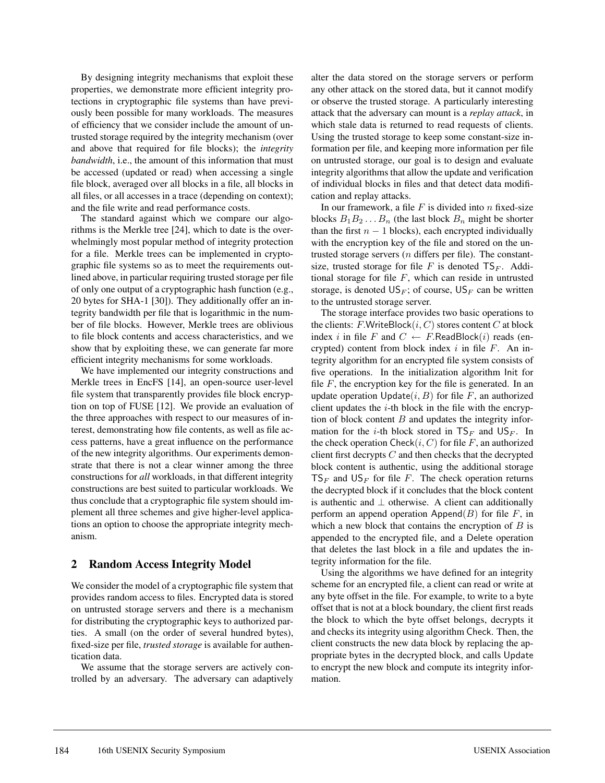By designing integrity mechanisms that exploit these properties, we demonstrate more efficient integrity protections in cryptographic file systems than have previously been possible for many workloads. The measures of efficiency that we consider include the amount of untrusted storage required by the integrity mechanism (over and above that required for file blocks); the *integrity bandwidth*, i.e., the amount of this information that must be accessed (updated or read) when accessing a single file block, averaged over all blocks in a file, all blocks in all files, or all accesses in a trace (depending on context); and the file write and read performance costs.

The standard against which we compare our algorithms is the Merkle tree [24], which to date is the overwhelmingly most popular method of integrity protection for a file. Merkle trees can be implemented in cryptographic file systems so as to meet the requirements outlined above, in particular requiring trusted storage per file of only one output of a cryptographic hash function (e.g., 20 bytes for SHA-1 [30]). They additionally offer an integrity bandwidth per file that is logarithmic in the number of file blocks. However, Merkle trees are oblivious to file block contents and access characteristics, and we show that by exploiting these, we can generate far more efficient integrity mechanisms for some workloads.

We have implemented our integrity constructions and Merkle trees in EncFS [14], an open-source user-level file system that transparently provides file block encryption on top of FUSE [12]. We provide an evaluation of the three approaches with respect to our measures of interest, demonstrating how file contents, as well as file access patterns, have a great influence on the performance of the new integrity algorithms. Our experiments demonstrate that there is not a clear winner among the three constructions for *all* workloads, in that different integrity constructions are best suited to particular workloads. We thus conclude that a cryptographic file system should implement all three schemes and give higher-level applications an option to choose the appropriate integrity mechanism.

#### **2 Random Access Integrity Model**

We consider the model of a cryptographic file system that provides random access to files. Encrypted data is stored on untrusted storage servers and there is a mechanism for distributing the cryptographic keys to authorized parties. A small (on the order of several hundred bytes), fixed-size per file, *trusted storage* is available for authentication data.

We assume that the storage servers are actively controlled by an adversary. The adversary can adaptively alter the data stored on the storage servers or perform any other attack on the stored data, but it cannot modify or observe the trusted storage. A particularly interesting attack that the adversary can mount is a *replay attack*, in which stale data is returned to read requests of clients. Using the trusted storage to keep some constant-size information per file, and keeping more information per file on untrusted storage, our goal is to design and evaluate integrity algorithms that allow the update and verification of individual blocks in files and that detect data modification and replay attacks.

In our framework, a file  $F$  is divided into  $n$  fixed-size blocks  $B_1B_2...B_n$  (the last block  $B_n$  might be shorter than the first  $n - 1$  blocks), each encrypted individually with the encryption key of the file and stored on the untrusted storage servers  $(n$  differs per file). The constantsize, trusted storage for file F is denoted  $TS_F$ . Additional storage for file  $F$ , which can reside in untrusted storage, is denoted  $US_F$ ; of course,  $US_F$  can be written to the untrusted storage server.

The storage interface provides two basic operations to the clients:  $F.WriteBlock(i, C)$  stores content  $C$  at block index i in file F and  $C \leftarrow F$ .ReadBlock(i) reads (encrypted) content from block index  $i$  in file  $F$ . An integrity algorithm for an encrypted file system consists of five operations. In the initialization algorithm Init for file  $F$ , the encryption key for the file is generated. In an update operation  $Update(i, B)$  for file F, an authorized client updates the  $i$ -th block in the file with the encryption of block content  $B$  and updates the integrity information for the *i*-th block stored in  $TS_F$  and  $US_F$ . In the check operation  $Check(i, C)$  for file F, an authorized client first decrypts  $C$  and then checks that the decrypted block content is authentic, using the additional storage  $TS_F$  and  $US_F$  for file F. The check operation returns the decrypted block if it concludes that the block content is authentic and  $\perp$  otherwise. A client can additionally perform an append operation Append $(B)$  for file F, in which a new block that contains the encryption of  $B$  is appended to the encrypted file, and a Delete operation that deletes the last block in a file and updates the integrity information for the file.

Using the algorithms we have defined for an integrity scheme for an encrypted file, a client can read or write at any byte offset in the file. For example, to write to a byte offset that is not at a block boundary, the client first reads the block to which the byte offset belongs, decrypts it and checks its integrity using algorithm Check. Then, the client constructs the new data block by replacing the appropriate bytes in the decrypted block, and calls Update to encrypt the new block and compute its integrity information.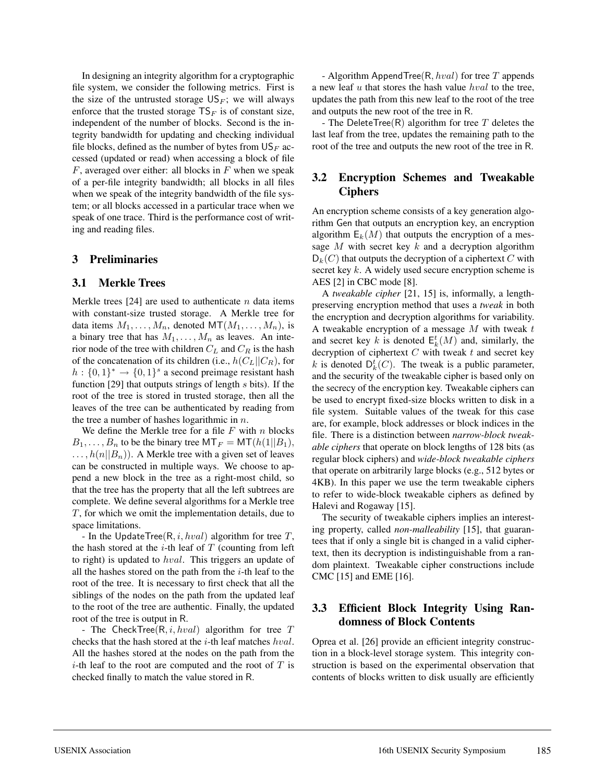In designing an integrity algorithm for a cryptographic file system, we consider the following metrics. First is the size of the untrusted storage  $US_F$ ; we will always enforce that the trusted storage  $TS_F$  is of constant size, independent of the number of blocks. Second is the integrity bandwidth for updating and checking individual file blocks, defined as the number of bytes from  $\mathsf{US}_F$  accessed (updated or read) when accessing a block of file  $F$ , averaged over either: all blocks in  $F$  when we speak of a per-file integrity bandwidth; all blocks in all files when we speak of the integrity bandwidth of the file system; or all blocks accessed in a particular trace when we speak of one trace. Third is the performance cost of writing and reading files.

### **3 Preliminaries**

#### **3.1 Merkle Trees**

Merkle trees [24] are used to authenticate  $n$  data items with constant-size trusted storage. A Merkle tree for data items  $M_1, \ldots, M_n$ , denoted  $\text{MT}(M_1, \ldots, M_n)$ , is a binary tree that has  $M_1, \ldots, M_n$  as leaves. An interior node of the tree with children  $C_L$  and  $C_R$  is the hash of the concatenation of its children (i.e.,  $h(C_L||C_R)$ , for  $h: \{0,1\}^* \rightarrow \{0,1\}^s$  a second preimage resistant hash function [29] that outputs strings of length  $s$  bits). If the root of the tree is stored in trusted storage, then all the leaves of the tree can be authenticated by reading from the tree a number of hashes logarithmic in  $n$ .

We define the Merkle tree for a file  $F$  with  $n$  blocks  $B_1,\ldots,B_n$  to be the binary tree MT<sub>F</sub> = MT( $h(1||B_1)$ ,  $\ldots,h(n||B_n)$ . A Merkle tree with a given set of leaves can be constructed in multiple ways. We choose to append a new block in the tree as a right-most child, so that the tree has the property that all the left subtrees are complete. We define several algorithms for a Merkle tree T, for which we omit the implementation details, due to space limitations.

- In the UpdateTree( $R, i, hval$ ) algorithm for tree T, the hash stored at the  $i$ -th leaf of  $T$  (counting from left to right) is updated to hval. This triggers an update of all the hashes stored on the path from the  $i$ -th leaf to the root of the tree. It is necessary to first check that all the siblings of the nodes on the path from the updated leaf to the root of the tree are authentic. Finally, the updated root of the tree is output in R.

- The CheckTree( $R, i, hval$ ) algorithm for tree  $T$ checks that the hash stored at the  $i$ -th leaf matches  $hval$ . All the hashes stored at the nodes on the path from the *i*-th leaf to the root are computed and the root of  $T$  is checked finally to match the value stored in R.

- Algorithm AppendTree( $R, hval$ ) for tree  $T$  appends a new leaf  $u$  that stores the hash value  $hval$  to the tree, updates the path from this new leaf to the root of the tree and outputs the new root of the tree in R.

- The DeleteTree(R) algorithm for tree T deletes the last leaf from the tree, updates the remaining path to the root of the tree and outputs the new root of the tree in R.

## **3.2 Encryption Schemes and Tweakable Ciphers**

An encryption scheme consists of a key generation algorithm Gen that outputs an encryption key, an encryption algorithm  $E_k(M)$  that outputs the encryption of a message M with secret key  $k$  and a decryption algorithm  $D_k(C)$  that outputs the decryption of a ciphertext C with secret key  $k$ . A widely used secure encryption scheme is AES [2] in CBC mode [8].

A *tweakable cipher* [21, 15] is, informally, a lengthpreserving encryption method that uses a *tweak* in both the encryption and decryption algorithms for variability. A tweakable encryption of a message  $M$  with tweak  $t$ and secret key k is denoted  $E_k^t(M)$  and, similarly, the decryption of ciphertext  $C$  with tweak  $t$  and secret key k is denoted  $D_k^t(C)$ . The tweak is a public parameter, and the security of the tweakable cipher is based only on the secrecy of the encryption key. Tweakable ciphers can be used to encrypt fixed-size blocks written to disk in a file system. Suitable values of the tweak for this case are, for example, block addresses or block indices in the file. There is a distinction between *narrow-block tweakable ciphers* that operate on block lengths of 128 bits (as regular block ciphers) and *wide-block tweakable ciphers* that operate on arbitrarily large blocks (e.g., 512 bytes or 4KB). In this paper we use the term tweakable ciphers to refer to wide-block tweakable ciphers as defined by Halevi and Rogaway [15].

The security of tweakable ciphers implies an interesting property, called *non-malleability* [15], that guarantees that if only a single bit is changed in a valid ciphertext, then its decryption is indistinguishable from a random plaintext. Tweakable cipher constructions include CMC [15] and EME [16].

### **3.3 Efficient Block Integrity Using Randomness of Block Contents**

Oprea et al. [26] provide an efficient integrity construction in a block-level storage system. This integrity construction is based on the experimental observation that contents of blocks written to disk usually are efficiently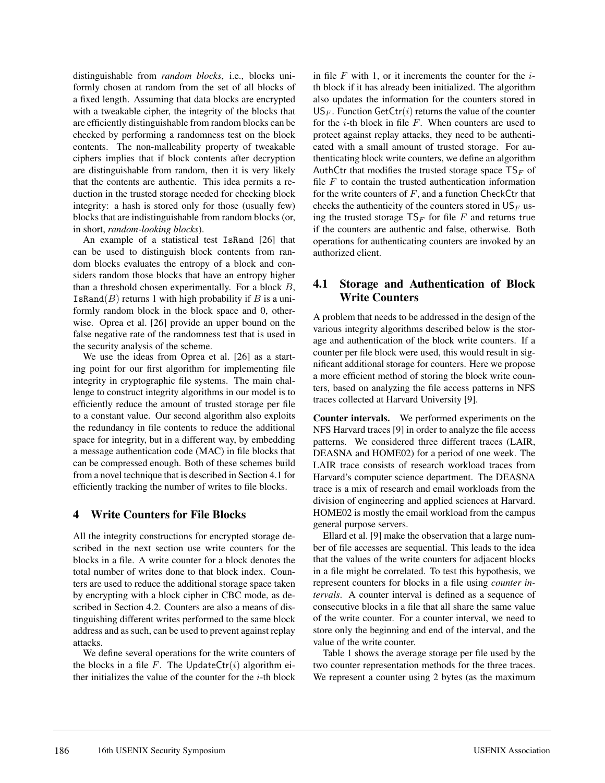distinguishable from *random blocks*, i.e., blocks uniformly chosen at random from the set of all blocks of a fixed length. Assuming that data blocks are encrypted with a tweakable cipher, the integrity of the blocks that are efficiently distinguishable from random blocks can be checked by performing a randomness test on the block contents. The non-malleability property of tweakable ciphers implies that if block contents after decryption are distinguishable from random, then it is very likely that the contents are authentic. This idea permits a reduction in the trusted storage needed for checking block integrity: a hash is stored only for those (usually few) blocks that are indistinguishable from random blocks (or, in short, *random-looking blocks*).

An example of a statistical test IsRand [26] that can be used to distinguish block contents from random blocks evaluates the entropy of a block and considers random those blocks that have an entropy higher than a threshold chosen experimentally. For a block  $B$ , IsRand( $B$ ) returns 1 with high probability if  $B$  is a uniformly random block in the block space and 0, otherwise. Oprea et al. [26] provide an upper bound on the false negative rate of the randomness test that is used in the security analysis of the scheme.

We use the ideas from Oprea et al. [26] as a starting point for our first algorithm for implementing file integrity in cryptographic file systems. The main challenge to construct integrity algorithms in our model is to efficiently reduce the amount of trusted storage per file to a constant value. Our second algorithm also exploits the redundancy in file contents to reduce the additional space for integrity, but in a different way, by embedding a message authentication code (MAC) in file blocks that can be compressed enough. Both of these schemes build from a novel technique that is described in Section 4.1 for efficiently tracking the number of writes to file blocks.

### **4 Write Counters for File Blocks**

All the integrity constructions for encrypted storage described in the next section use write counters for the blocks in a file. A write counter for a block denotes the total number of writes done to that block index. Counters are used to reduce the additional storage space taken by encrypting with a block cipher in CBC mode, as described in Section 4.2. Counters are also a means of distinguishing different writes performed to the same block address and as such, can be used to prevent against replay attacks.

We define several operations for the write counters of the blocks in a file F. The UpdateCtr $(i)$  algorithm either initializes the value of the counter for the  $i$ -th block

in file  $F$  with 1, or it increments the counter for the  $i$ th block if it has already been initialized. The algorithm also updates the information for the counters stored in  $US_F$ . Function GetCtr(i) returns the value of the counter for the  $i$ -th block in file  $F$ . When counters are used to protect against replay attacks, they need to be authenticated with a small amount of trusted storage. For authenticating block write counters, we define an algorithm AuthCtr that modifies the trusted storage space  $TS_F$  of file  $F$  to contain the trusted authentication information for the write counters of  $F$ , and a function CheckCtr that checks the authenticity of the counters stored in  $\mathsf{US}_F$  using the trusted storage  $TS_F$  for file F and returns true if the counters are authentic and false, otherwise. Both operations for authenticating counters are invoked by an authorized client.

## **4.1 Storage and Authentication of Block Write Counters**

A problem that needs to be addressed in the design of the various integrity algorithms described below is the storage and authentication of the block write counters. If a counter per file block were used, this would result in significant additional storage for counters. Here we propose a more efficient method of storing the block write counters, based on analyzing the file access patterns in NFS traces collected at Harvard University [9].

**Counter intervals.** We performed experiments on the NFS Harvard traces [9] in order to analyze the file access patterns. We considered three different traces (LAIR, DEASNA and HOME02) for a period of one week. The LAIR trace consists of research workload traces from Harvard's computer science department. The DEASNA trace is a mix of research and email workloads from the division of engineering and applied sciences at Harvard. HOME02 is mostly the email workload from the campus general purpose servers.

Ellard et al. [9] make the observation that a large number of file accesses are sequential. This leads to the idea that the values of the write counters for adjacent blocks in a file might be correlated. To test this hypothesis, we represent counters for blocks in a file using *counter intervals*. A counter interval is defined as a sequence of consecutive blocks in a file that all share the same value of the write counter. For a counter interval, we need to store only the beginning and end of the interval, and the value of the write counter.

Table 1 shows the average storage per file used by the two counter representation methods for the three traces. We represent a counter using 2 bytes (as the maximum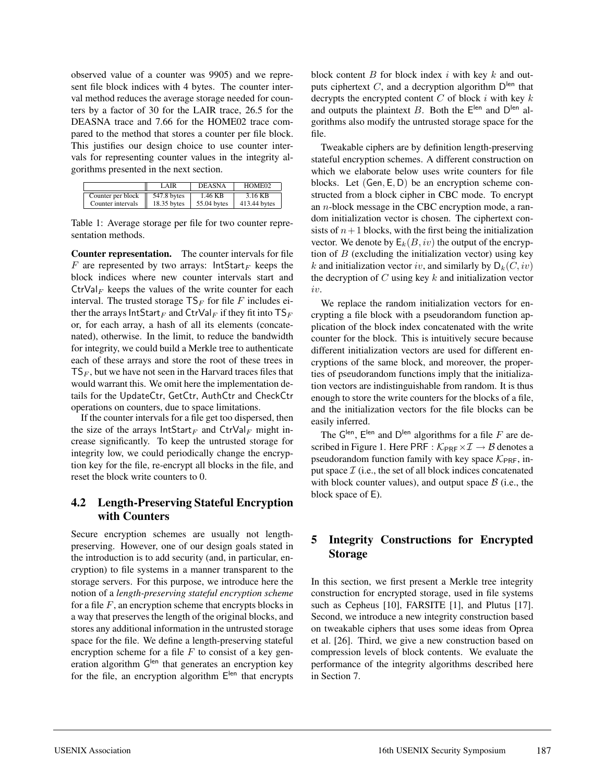observed value of a counter was 9905) and we represent file block indices with 4 bytes. The counter interval method reduces the average storage needed for counters by a factor of 30 for the LAIR trace, 26.5 for the DEASNA trace and 7.66 for the HOME02 trace compared to the method that stores a counter per file block. This justifies our design choice to use counter intervals for representing counter values in the integrity algorithms presented in the next section.

|                   | LAIR        | <b>DEASNA</b> | HOME <sub>02</sub> |
|-------------------|-------------|---------------|--------------------|
| Counter per block | 547.8 bytes | 1.46 KB       | 3.16 KB            |
| Counter intervals | 18.35 bytes | 55.04 bytes   | 413.44 bytes       |

Table 1: Average storage per file for two counter representation methods.

**Counter representation.** The counter intervals for file F are represented by two arrays:  $IntStart_F$  keeps the block indices where new counter intervals start and  $\mathrm{Ctrl}_F$  keeps the values of the write counter for each interval. The trusted storage  $TS_F$  for file F includes either the arrays IntStart<sub>F</sub> and CtrVal<sub>F</sub> if they fit into  $TS_F$ or, for each array, a hash of all its elements (concatenated), otherwise. In the limit, to reduce the bandwidth for integrity, we could build a Merkle tree to authenticate each of these arrays and store the root of these trees in  $TS_F$ , but we have not seen in the Harvard traces files that would warrant this. We omit here the implementation details for the UpdateCtr, GetCtr, AuthCtr and CheckCtr operations on counters, due to space limitations.

If the counter intervals for a file get too dispersed, then the size of the arrays  $IntStart_F$  and  $Ctrl_F$  might increase significantly. To keep the untrusted storage for integrity low, we could periodically change the encryption key for the file, re-encrypt all blocks in the file, and reset the block write counters to 0.

## **4.2 Length-Preserving Stateful Encryption with Counters**

Secure encryption schemes are usually not lengthpreserving. However, one of our design goals stated in the introduction is to add security (and, in particular, encryption) to file systems in a manner transparent to the storage servers. For this purpose, we introduce here the notion of a *length-preserving stateful encryption scheme* for a file  $F$ , an encryption scheme that encrypts blocks in a way that preserves the length of the original blocks, and stores any additional information in the untrusted storage space for the file. We define a length-preserving stateful encryption scheme for a file  $F$  to consist of a key generation algorithm G<sup>len</sup> that generates an encryption key for the file, an encryption algorithm  $E^{len}$  that encrypts block content  $B$  for block index  $i$  with key  $k$  and outputs ciphertext  $C$ , and a decryption algorithm  $D^{len}$  that decrypts the encrypted content  $C$  of block  $i$  with key  $k$ and outputs the plaintext B. Both the  $E^{len}$  and  $D^{len}$  algorithms also modify the untrusted storage space for the file.

Tweakable ciphers are by definition length-preserving stateful encryption schemes. A different construction on which we elaborate below uses write counters for file blocks. Let (Gen, E, D) be an encryption scheme constructed from a block cipher in CBC mode. To encrypt an n-block message in the CBC encryption mode, a random initialization vector is chosen. The ciphertext consists of  $n+1$  blocks, with the first being the initialization vector. We denote by  $E_k(B, iv)$  the output of the encryption of  $B$  (excluding the initialization vector) using key k and initialization vector iv, and similarly by  $D_k(C, iv)$ the decryption of  $C$  using key  $k$  and initialization vector iv.

We replace the random initialization vectors for encrypting a file block with a pseudorandom function application of the block index concatenated with the write counter for the block. This is intuitively secure because different initialization vectors are used for different encryptions of the same block, and moreover, the properties of pseudorandom functions imply that the initialization vectors are indistinguishable from random. It is thus enough to store the write counters for the blocks of a file, and the initialization vectors for the file blocks can be easily inferred.

The  $G^{len}$ ,  $E^{len}$  and  $D^{len}$  algorithms for a file F are described in Figure 1. Here PRF :  $\mathcal{K}_{PRF} \times \mathcal{I} \rightarrow \mathcal{B}$  denotes a pseudorandom function family with key space  $\mathcal{K}_{\text{PRF}}$ , input space  $\mathcal I$  (i.e., the set of all block indices concatenated with block counter values), and output space  $\beta$  (i.e., the block space of E).

## **5 Integrity Constructions for Encrypted Storage**

In this section, we first present a Merkle tree integrity construction for encrypted storage, used in file systems such as Cepheus [10], FARSITE [1], and Plutus [17]. Second, we introduce a new integrity construction based on tweakable ciphers that uses some ideas from Oprea et al. [26]. Third, we give a new construction based on compression levels of block contents. We evaluate the performance of the integrity algorithms described here in Section 7.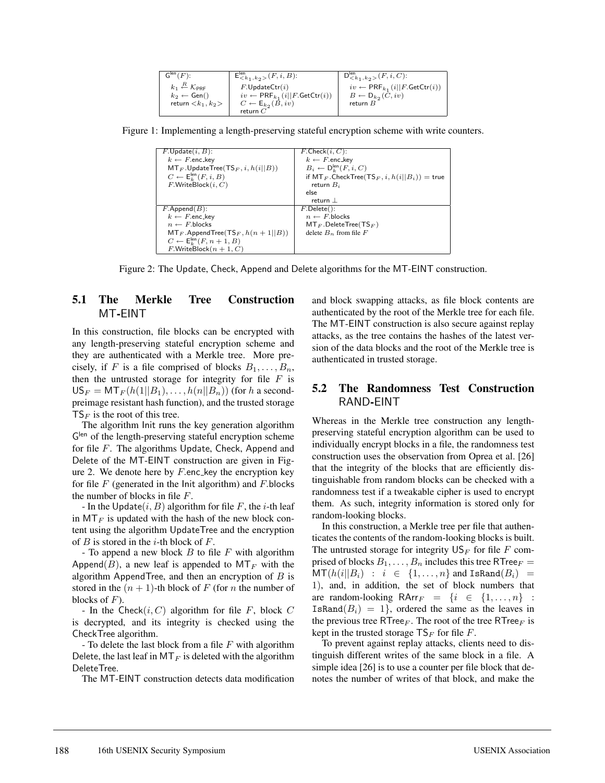| $\mathsf{G}^{\mathsf{len}}(F)$ :                          | $\mathsf{E}^{\mathsf{len}}_{\leq k_1, k_2>} (F, i, B)$ : | $D^{\text{len}}_{\leq k_1, k_2>} (F, i, C)$ :               |
|-----------------------------------------------------------|----------------------------------------------------------|-------------------------------------------------------------|
| $k_1 \stackrel{R}{\leftarrow} \mathcal{K}_{\mathsf{PRF}}$ | $F.\mathsf{Updatectr}(i)$                                | $iv \leftarrow \mathsf{PRF}_{k_1}(i  F.\mathsf{Getctr}(i))$ |
| $k_2 \leftarrow$ Gen()                                    | $iv \leftarrow \text{PRF}_{k_1}(i  F.\text{GetCtr}(i))$  | $B \leftarrow D_{k_2}(C, iv)$                               |
| return $\langle k_1, k_2 \rangle$                         | $C \leftarrow E_{k_2}(B, iv)$                            | return $B$                                                  |
|                                                           | return $C$                                               |                                                             |

Figure 1: Implementing a length-preserving stateful encryption scheme with write counters.

| $F.\mathsf{Update}(i, B)$ :                            | $\overline{F$ . Check $(i, C)$ :                                  |
|--------------------------------------------------------|-------------------------------------------------------------------|
| $k \leftarrow F$ .enc_kev                              | $k \leftarrow F$ .enc_key                                         |
| $MT_F$ . Update Tree (TS <sub>F</sub> , i, $h(i  B)$ ) | $B_i \leftarrow \mathsf{D}_{i}^{\mathsf{len}}(F, i, C)$           |
| $C \leftarrow \mathsf{E}_{k}^{\mathsf{len}}(F, i, B)$  | if $MT_F$ . Check Tree (TS <sub>F</sub> , i, $h(i  B_i)$ ) = true |
| $F.W$ riteBlock $(i, C)$                               | return $B_i$                                                      |
|                                                        | else                                                              |
|                                                        | return                                                            |
| $F$ . Append $(B)$ :                                   | $F.Delete()$ :                                                    |
| $k \leftarrow F$ .enc_key                              | $n \leftarrow F$ blocks                                           |
| $n \leftarrow F$ blocks                                | $MT_F$ . Delete Tree (TS <sub>F</sub> )                           |
| $MT_F$ . Append Tree (TS <sub>F</sub> , $h(n+1  B)$ )  | delete $B_n$ from file F                                          |
| $C \leftarrow \mathsf{E}_k^{\mathsf{len}}(F, n+1, B)$  |                                                                   |
| $F.WriteBlock(n + 1, C)$                               |                                                                   |

Figure 2: The Update, Check, Append and Delete algorithms for the MT-EINT construction.

### **5.1 The Merkle Tree Construction** MT**-**EINT

In this construction, file blocks can be encrypted with any length-preserving stateful encryption scheme and they are authenticated with a Merkle tree. More precisely, if F is a file comprised of blocks  $B_1, \ldots, B_n$ , then the untrusted storage for integrity for file  $F$  is  $US_F = MT_F(h(1||B_1), \ldots, h(n||B_n))$  (for h a secondpreimage resistant hash function), and the trusted storage  $TS_F$  is the root of this tree.

The algorithm Init runs the key generation algorithm  $G<sup>len</sup>$  of the length-preserving stateful encryption scheme for file F. The algorithms Update, Check, Append and Delete of the MT-EINT construction are given in Figure 2. We denote here by  $F$  enc key the encryption key for file  $F$  (generated in the Init algorithm) and  $F$ .blocks the number of blocks in file F.

- In the Update $(i, B)$  algorithm for file F, the *i*-th leaf in  $MT_F$  is updated with the hash of the new block content using the algorithm UpdateTree and the encryption of  $B$  is stored in the *i*-th block of  $F$ .

- To append a new block  $B$  to file  $F$  with algorithm Append(B), a new leaf is appended to  $MT_F$  with the algorithm AppendTree, and then an encryption of  $B$  is stored in the  $(n + 1)$ -th block of F (for n the number of blocks of  $F$ ).

- In the Check $(i, C)$  algorithm for file F, block C is decrypted, and its integrity is checked using the CheckTree algorithm.

- To delete the last block from a file  $F$  with algorithm Delete, the last leaf in  $MT_F$  is deleted with the algorithm DeleteTree.

The MT-EINT construction detects data modification

and block swapping attacks, as file block contents are authenticated by the root of the Merkle tree for each file. The MT-EINT construction is also secure against replay attacks, as the tree contains the hashes of the latest version of the data blocks and the root of the Merkle tree is authenticated in trusted storage.

### **5.2 The Randomness Test Construction** RAND**-**EINT

Whereas in the Merkle tree construction any lengthpreserving stateful encryption algorithm can be used to individually encrypt blocks in a file, the randomness test construction uses the observation from Oprea et al. [26] that the integrity of the blocks that are efficiently distinguishable from random blocks can be checked with a randomness test if a tweakable cipher is used to encrypt them. As such, integrity information is stored only for random-looking blocks.

In this construction, a Merkle tree per file that authenticates the contents of the random-looking blocks is built. The untrusted storage for integrity  $\mathsf{US}_F$  for file F comprised of blocks  $B_1, \ldots, B_n$  includes this tree RTree  $F =$  $\mathsf{MT}(h(i||B_i) : i \in \{1,\ldots,n\} \text{ and IsRand}(B_i) =$ 1), and, in addition, the set of block numbers that are random-looking RArr $F = \{i \in \{1, ..., n\}$ : IsRand $(B_i)=1$ , ordered the same as the leaves in the previous tree RTree<sub>F</sub>. The root of the tree RTree<sub>F</sub> is kept in the trusted storage  $TS_F$  for file F.

To prevent against replay attacks, clients need to distinguish different writes of the same block in a file. A simple idea [26] is to use a counter per file block that denotes the number of writes of that block, and make the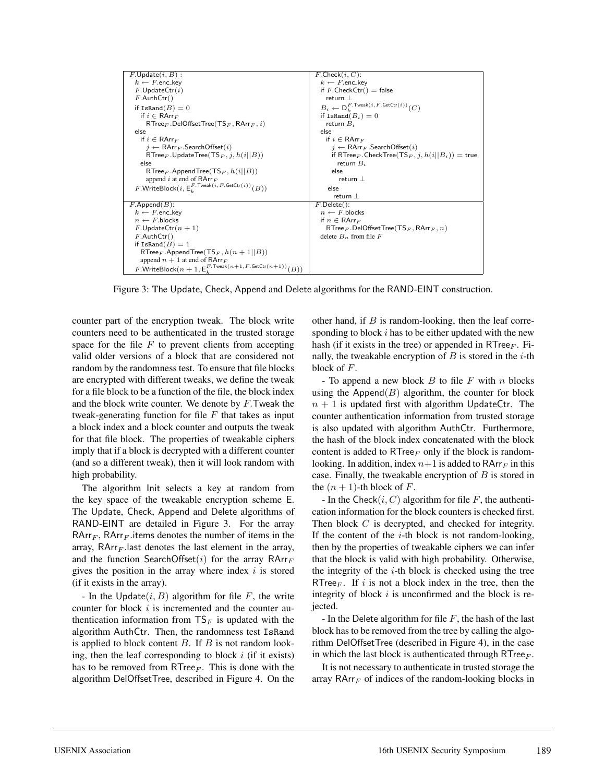| $F.\mathsf{Update}(i, B)$ :                                                                      | $F$ . Check $(i, C)$ :                                                        |
|--------------------------------------------------------------------------------------------------|-------------------------------------------------------------------------------|
| $k \leftarrow F$ .enc_kev                                                                        | $k \leftarrow F$ .enc_key                                                     |
| $F.\mathsf{Updatectr}(i)$                                                                        | if $F$ . Check $\text{ctr}() = \text{false}$                                  |
| $F$ .AuthCtr()                                                                                   | return                                                                        |
| if IsRand $(B) = 0$                                                                              | $B_i \leftarrow \mathsf{D}_{k}^{F.\mathsf{Twack}(i,F.\mathsf{GetCtr}(i))}(C)$ |
| if $i \in$ RArr $_F$                                                                             | if IsRand $(B_i)=0$                                                           |
| $RTree_F$ . Del Offset Tree (TS <sub>F</sub> , RArr <sub>F</sub> , i)                            | return $B_i$                                                                  |
| else                                                                                             | else                                                                          |
| if $i \in$ RArr $_F$                                                                             | if $i \in$ RArr $F$                                                           |
| $i \leftarrow \mathsf{RArr}_F.\mathsf{SearchOffset}(i)$                                          | $i \leftarrow \mathsf{RArr}_F$ . Search Offset $(i)$                          |
| RTree <sub>F</sub> .UpdateTree(TS <sub>F</sub> , j, $h(i  B)$ )                                  | if RTree $_F$ . CheckTree (TS $_F$ , j, $h(i  B_i)$ ) = true                  |
| else                                                                                             | return $B_i$                                                                  |
| $RTree_F$ . Append Tree (TS <sub>F</sub> , $h(i  B)$ )                                           | else                                                                          |
| append i at end of RArr $_F$                                                                     | return $\perp$                                                                |
| $F.\mathsf{WriteBlock}(i, \mathsf{E}^{F.\mathsf{True} \mathsf{ak}(i, F.\mathsf{GetCtr}(i))}(B))$ | else                                                                          |
|                                                                                                  | return                                                                        |
| $F$ . Append $(B)$ :                                                                             | $F.Delete()$ :                                                                |
| $k \leftarrow F$ .enc_key                                                                        | $n \leftarrow F$ blocks                                                       |
| $n \leftarrow F$ blocks                                                                          | if $n \in \mathsf{RArr}_F$                                                    |
| $F.\mathsf{Updatectr}(n+1)$                                                                      | $RTree_F$ . Del Offset Tree (TS <sub>F</sub> , RArr <sub>F</sub> , n)         |
| $F$ .AuthCtr()                                                                                   | delete $B_n$ from file F                                                      |
| if IsRand $(B) = 1$                                                                              |                                                                               |
| RTree $_F$ . Append Tree (TS $_F$ , $h(n+1  B)$ )                                                |                                                                               |
| append $n + 1$ at end of RArr $_F$                                                               |                                                                               |
| $F.\mathsf{WriteBlock}(n+1, \mathsf{E}^{F.\mathsf{Twoak}(n+1, F.\mathsf{GetCtr}(n+1))}(B))$      |                                                                               |

Figure 3: The Update, Check, Append and Delete algorithms for the RAND-EINT construction.

counter part of the encryption tweak. The block write counters need to be authenticated in the trusted storage space for the file  $F$  to prevent clients from accepting valid older versions of a block that are considered not random by the randomness test. To ensure that file blocks are encrypted with different tweaks, we define the tweak for a file block to be a function of the file, the block index and the block write counter. We denote by F.Tweak the tweak-generating function for file  $F$  that takes as input a block index and a block counter and outputs the tweak for that file block. The properties of tweakable ciphers imply that if a block is decrypted with a different counter (and so a different tweak), then it will look random with high probability.

The algorithm Init selects a key at random from the key space of the tweakable encryption scheme E. The Update, Check, Append and Delete algorithms of RAND-EINT are detailed in Figure 3. For the array RArr<sub>F</sub>, RArr<sub>F</sub> items denotes the number of items in the array, RArr $_F$  last denotes the last element in the array, and the function SearchOffset(i) for the array  $\mathsf{RArr}_F$ gives the position in the array where index  $i$  is stored (if it exists in the array).

- In the Update $(i, B)$  algorithm for file F, the write counter for block *i* is incremented and the counter authentication information from  $TS_F$  is updated with the algorithm AuthCtr. Then, the randomness test IsRand is applied to block content  $B$ . If  $B$  is not random looking, then the leaf corresponding to block  $i$  (if it exists) has to be removed from RTree<sub>F</sub>. This is done with the algorithm DelOffsetTree, described in Figure 4. On the

other hand, if  $B$  is random-looking, then the leaf corresponding to block  $i$  has to be either updated with the new hash (if it exists in the tree) or appended in  $RTree_F$ . Finally, the tweakable encryption of  $B$  is stored in the *i*-th block of F.

- To append a new block  $B$  to file  $F$  with  $n$  blocks using the Append $(B)$  algorithm, the counter for block  $n + 1$  is updated first with algorithm UpdateCtr. The counter authentication information from trusted storage is also updated with algorithm AuthCtr. Furthermore, the hash of the block index concatenated with the block content is added to RTree<sub>F</sub> only if the block is randomlooking. In addition, index  $n+1$  is added to RArr<sub>F</sub> in this case. Finally, the tweakable encryption of  $B$  is stored in the  $(n + 1)$ -th block of F.

- In the Check $(i, C)$  algorithm for file F, the authentication information for the block counters is checked first. Then block C is decrypted, and checked for integrity. If the content of the  $i$ -th block is not random-looking, then by the properties of tweakable ciphers we can infer that the block is valid with high probability. Otherwise, the integrity of the  $i$ -th block is checked using the tree RTree $_F$ . If i is not a block index in the tree, then the integrity of block  $i$  is unconfirmed and the block is rejected.

- In the Delete algorithm for file  $F$ , the hash of the last block has to be removed from the tree by calling the algorithm DelOffsetTree (described in Figure 4), in the case in which the last block is authenticated through RTree $_F$ .

It is not necessary to authenticate in trusted storage the array  $\mathsf{RArr}_F$  of indices of the random-looking blocks in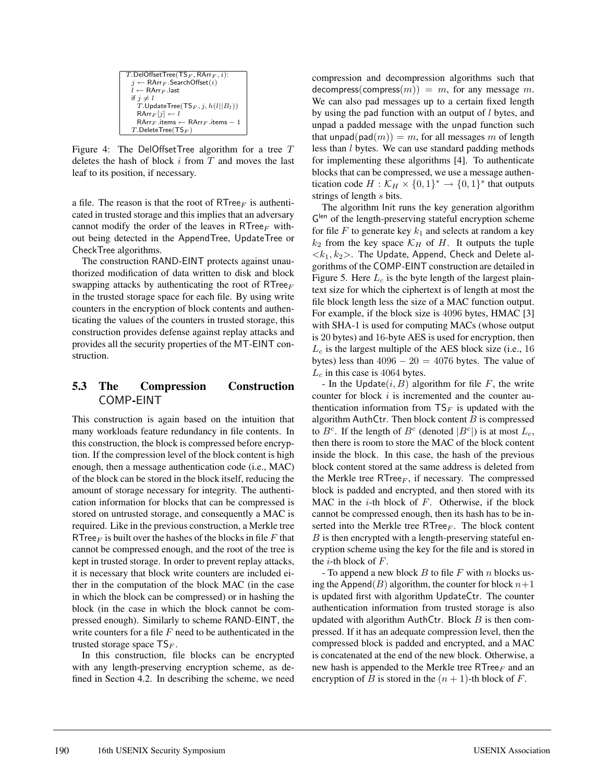Figure 4: The DelOffsetTree algorithm for a tree  $T$ deletes the hash of block  $i$  from  $T$  and moves the last leaf to its position, if necessary.

a file. The reason is that the root of  $RTree_F$  is authenticated in trusted storage and this implies that an adversary cannot modify the order of the leaves in RTree<sub>F</sub> without being detected in the AppendTree, UpdateTree or CheckTree algorithms.

The construction RAND-EINT protects against unauthorized modification of data written to disk and block swapping attacks by authenticating the root of RTree $_F$ in the trusted storage space for each file. By using write counters in the encryption of block contents and authenticating the values of the counters in trusted storage, this construction provides defense against replay attacks and provides all the security properties of the MT-EINT construction.

## **5.3 The Compression Construction** COMP**-**EINT

This construction is again based on the intuition that many workloads feature redundancy in file contents. In this construction, the block is compressed before encryption. If the compression level of the block content is high enough, then a message authentication code (i.e., MAC) of the block can be stored in the block itself, reducing the amount of storage necessary for integrity. The authentication information for blocks that can be compressed is stored on untrusted storage, and consequently a MAC is required. Like in the previous construction, a Merkle tree RTree<sub>F</sub> is built over the hashes of the blocks in file F that cannot be compressed enough, and the root of the tree is kept in trusted storage. In order to prevent replay attacks, it is necessary that block write counters are included either in the computation of the block MAC (in the case in which the block can be compressed) or in hashing the block (in the case in which the block cannot be compressed enough). Similarly to scheme RAND-EINT, the write counters for a file  $F$  need to be authenticated in the trusted storage space  $TS_F$ .

In this construction, file blocks can be encrypted with any length-preserving encryption scheme, as defined in Section 4.2. In describing the scheme, we need compression and decompression algorithms such that decompress(compress $(m)$ ) = m, for any message m. We can also pad messages up to a certain fixed length by using the pad function with an output of  $l$  bytes, and unpad a padded message with the unpad function such that unpad(pad $(m)$ ) = m, for all messages m of length less than l bytes. We can use standard padding methods for implementing these algorithms [4]. To authenticate blocks that can be compressed, we use a message authentication code  $H : \mathcal{K}_H \times \{0,1\}^* \to \{0,1\}^s$  that outputs strings of length s bits.

The algorithm Init runs the key generation algorithm Glen of the length-preserving stateful encryption scheme for file F to generate key  $k_1$  and selects at random a key  $k_2$  from the key space  $\mathcal{K}_H$  of H. It outputs the tuple  $\langle k_1, k_2 \rangle$ . The Update, Append, Check and Delete algorithms of the COMP-EINT construction are detailed in Figure 5. Here  $L_c$  is the byte length of the largest plaintext size for which the ciphertext is of length at most the file block length less the size of a MAC function output. For example, if the block size is 4096 bytes, HMAC [3] with SHA-1 is used for computing MACs (whose output is 20 bytes) and 16-byte AES is used for encryption, then  $L<sub>c</sub>$  is the largest multiple of the AES block size (i.e., 16) bytes) less than  $4096 - 20 = 4076$  bytes. The value of  $L_c$  in this case is 4064 bytes.

- In the Update $(i, B)$  algorithm for file F, the write counter for block  $i$  is incremented and the counter authentication information from  $TS_F$  is updated with the algorithm AuthCtr. Then block content  $B$  is compressed to  $B^c$ . If the length of  $B^c$  (denoted  $|B^c|$ ) is at most  $L_c$ , then there is room to store the MAC of the block content inside the block. In this case, the hash of the previous block content stored at the same address is deleted from the Merkle tree  $RTree<sub>F</sub>$ , if necessary. The compressed block is padded and encrypted, and then stored with its MAC in the  $i$ -th block of  $F$ . Otherwise, if the block cannot be compressed enough, then its hash has to be inserted into the Merkle tree RTree $_F$ . The block content  $B$  is then encrypted with a length-preserving stateful encryption scheme using the key for the file and is stored in the  $i$ -th block of  $F$ .

- To append a new block  $B$  to file  $F$  with  $n$  blocks using the Append(B) algorithm, the counter for block  $n+1$ is updated first with algorithm UpdateCtr. The counter authentication information from trusted storage is also updated with algorithm AuthCtr. Block  $B$  is then compressed. If it has an adequate compression level, then the compressed block is padded and encrypted, and a MAC is concatenated at the end of the new block. Otherwise, a new hash is appended to the Merkle tree RTree $_F$  and an encryption of B is stored in the  $(n + 1)$ -th block of F.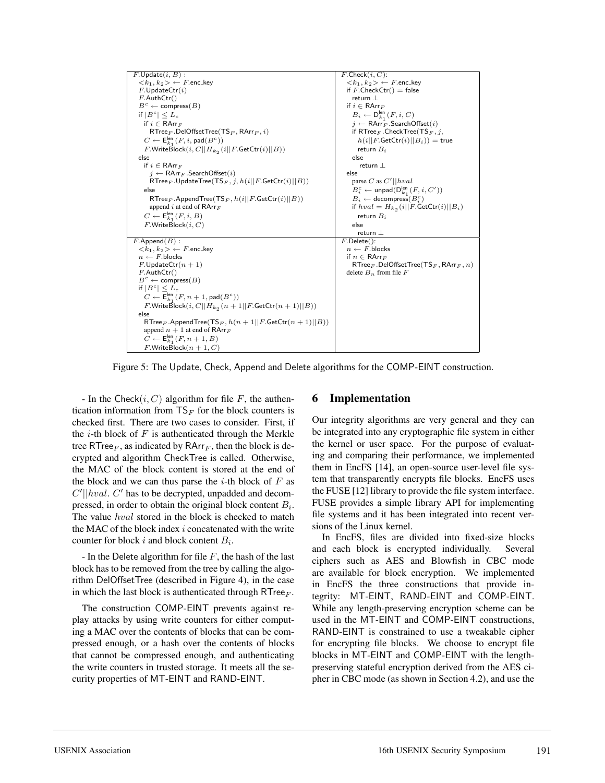

Figure 5: The Update, Check, Append and Delete algorithms for the COMP-EINT construction.

- In the Check $(i, C)$  algorithm for file F, the authentication information from  $TS_F$  for the block counters is checked first. There are two cases to consider. First, if the  $i$ -th block of  $F$  is authenticated through the Merkle tree RTree<sub>F</sub>, as indicated by RArr<sub>F</sub>, then the block is decrypted and algorithm CheckTree is called. Otherwise, the MAC of the block content is stored at the end of the block and we can thus parse the  $i$ -th block of F as  $C'||hval$ .  $C'$  has to be decrypted, unpadded and decompressed, in order to obtain the original block content  $B_i$ . The value *hval* stored in the block is checked to match the MAC of the block index  $i$  concatenated with the write counter for block i and block content  $B_i$ .

- In the Delete algorithm for file  $F$ , the hash of the last block has to be removed from the tree by calling the algorithm DelOffsetTree (described in Figure 4), in the case in which the last block is authenticated through RTree $_F$ .

The construction COMP-EINT prevents against replay attacks by using write counters for either computing a MAC over the contents of blocks that can be compressed enough, or a hash over the contents of blocks that cannot be compressed enough, and authenticating the write counters in trusted storage. It meets all the security properties of MT-EINT and RAND-EINT.

#### **6 Implementation**

Our integrity algorithms are very general and they can be integrated into any cryptographic file system in either the kernel or user space. For the purpose of evaluating and comparing their performance, we implemented them in EncFS [14], an open-source user-level file system that transparently encrypts file blocks. EncFS uses the FUSE [12] library to provide the file system interface. FUSE provides a simple library API for implementing file systems and it has been integrated into recent versions of the Linux kernel.

In EncFS, files are divided into fixed-size blocks and each block is encrypted individually. Several ciphers such as AES and Blowfish in CBC mode are available for block encryption. We implemented in EncFS the three constructions that provide integrity: MT-EINT, RAND-EINT and COMP-EINT. While any length-preserving encryption scheme can be used in the MT-EINT and COMP-EINT constructions, RAND-EINT is constrained to use a tweakable cipher for encrypting file blocks. We choose to encrypt file blocks in MT-EINT and COMP-EINT with the lengthpreserving stateful encryption derived from the AES cipher in CBC mode (as shown in Section 4.2), and use the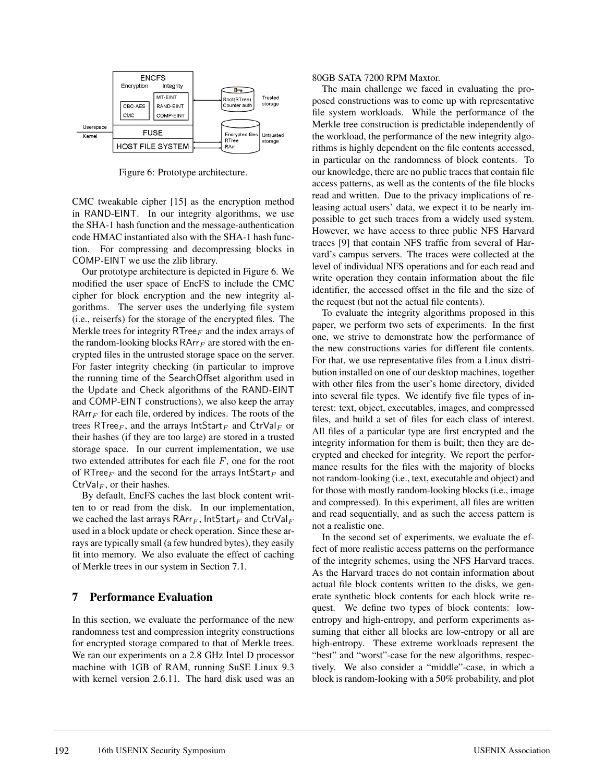

Figure 6: Prototype architecture.

CMC tweakable cipher [15] as the encryption method in RAND-EINT. In our integrity algorithms, we use the SHA-1 hash function and the message-authentication code HMAC instantiated also with the SHA-1 hash function. For compressing and decompressing blocks in COMP-EINT we use the zlib library.

Our prototype architecture is depicted in Figure 6. We modified the user space of EncFS to include the CMC cipher for block encryption and the new integrity algorithms. The server uses the underlying file system (i.e., reiserfs) for the storage of the encrypted files. The Merkle trees for integrity RTree $_F$  and the index arrays of the random-looking blocks  $\mathsf{RArr}_F$  are stored with the encrypted files in the untrusted storage space on the server. For faster integrity checking (in particular to improve the running time of the SearchOffset algorithm used in the Update and Check algorithms of the RAND-EINT and COMP-EINT constructions), we also keep the array  $\mathsf{RArr}_F$  for each file, ordered by indices. The roots of the trees RTree<sub>F</sub>, and the arrays IntStart<sub>F</sub> and CtrVal<sub>F</sub> or their hashes (if they are too large) are stored in a trusted storage space. In our current implementation, we use two extended attributes for each file  $F$ , one for the root of RTree $_F$  and the second for the arrays  $IntStart_F$  and CtrVal<sub>F</sub>, or their hashes.

By default, EncFS caches the last block content written to or read from the disk. In our implementation, we cached the last arrays RArr<sub>F</sub>, IntStart<sub>F</sub> and CtrVal<sub>F</sub> used in a block update or check operation. Since these arrays are typically small (a few hundred bytes), they easily fit into memory. We also evaluate the effect of caching of Merkle trees in our system in Section 7.1.

### **7 Performance Evaluation**

In this section, we evaluate the performance of the new randomness test and compression integrity constructions for encrypted storage compared to that of Merkle trees. We ran our experiments on a 2.8 GHz Intel D processor machine with 1GB of RAM, running SuSE Linux 9.3 with kernel version 2.6.11. The hard disk used was an

#### 80GB SATA 7200 RPM Maxtor.

The main challenge we faced in evaluating the proposed constructions was to come up with representative file system workloads. While the performance of the Merkle tree construction is predictable independently of the workload, the performance of the new integrity algorithms is highly dependent on the file contents accessed, in particular on the randomness of block contents. To our knowledge, there are no public traces that contain file access patterns, as well as the contents of the file blocks read and written. Due to the privacy implications of releasing actual users' data, we expect it to be nearly impossible to get such traces from a widely used system. However, we have access to three public NFS Harvard traces [9] that contain NFS traffic from several of Harvard's campus servers. The traces were collected at the level of individual NFS operations and for each read and write operation they contain information about the file identifier, the accessed offset in the file and the size of the request (but not the actual file contents).

To evaluate the integrity algorithms proposed in this paper, we perform two sets of experiments. In the first one, we strive to demonstrate how the performance of the new constructions varies for different file contents. For that, we use representative files from a Linux distribution installed on one of our desktop machines, together with other files from the user's home directory, divided into several file types. We identify five file types of interest: text, object, executables, images, and compressed files, and build a set of files for each class of interest. All files of a particular type are first encrypted and the integrity information for them is built; then they are decrypted and checked for integrity. We report the performance results for the files with the majority of blocks not random-looking (i.e., text, executable and object) and for those with mostly random-looking blocks (i.e., image and compressed). In this experiment, all files are written and read sequentially, and as such the access pattern is not a realistic one.

In the second set of experiments, we evaluate the effect of more realistic access patterns on the performance of the integrity schemes, using the NFS Harvard traces. As the Harvard traces do not contain information about actual file block contents written to the disks, we generate synthetic block contents for each block write request. We define two types of block contents: lowentropy and high-entropy, and perform experiments assuming that either all blocks are low-entropy or all are high-entropy. These extreme workloads represent the "best" and "worst"-case for the new algorithms, respectively. We also consider a "middle"-case, in which a block is random-looking with a 50% probability, and plot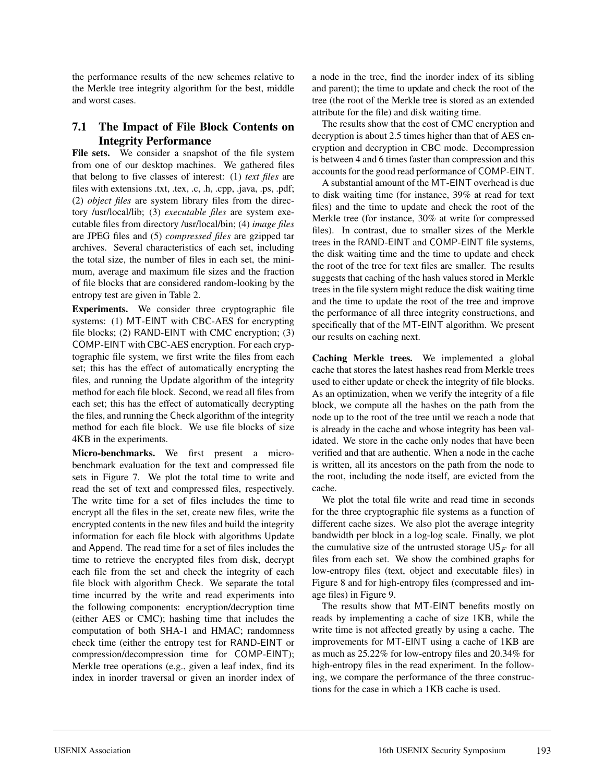the performance results of the new schemes relative to the Merkle tree integrity algorithm for the best, middle and worst cases.

## **7.1 The Impact of File Block Contents on Integrity Performance**

File sets. We consider a snapshot of the file system from one of our desktop machines. We gathered files that belong to five classes of interest: (1) *text files* are files with extensions .txt, .tex, .c, .h, .cpp, .java, .ps, .pdf; (2) *object files* are system library files from the directory /usr/local/lib; (3) *executable files* are system executable files from directory /usr/local/bin; (4) *image files* are JPEG files and (5) *compressed files* are gzipped tar archives. Several characteristics of each set, including the total size, the number of files in each set, the minimum, average and maximum file sizes and the fraction of file blocks that are considered random-looking by the entropy test are given in Table 2.

**Experiments.** We consider three cryptographic file systems: (1) MT-EINT with CBC-AES for encrypting file blocks; (2) RAND-EINT with CMC encryption; (3) COMP-EINT with CBC-AES encryption. For each cryptographic file system, we first write the files from each set; this has the effect of automatically encrypting the files, and running the Update algorithm of the integrity method for each file block. Second, we read all files from each set; this has the effect of automatically decrypting the files, and running the Check algorithm of the integrity method for each file block. We use file blocks of size 4KB in the experiments.

**Micro-benchmarks.** We first present a microbenchmark evaluation for the text and compressed file sets in Figure 7. We plot the total time to write and read the set of text and compressed files, respectively. The write time for a set of files includes the time to encrypt all the files in the set, create new files, write the encrypted contents in the new files and build the integrity information for each file block with algorithms Update and Append. The read time for a set of files includes the time to retrieve the encrypted files from disk, decrypt each file from the set and check the integrity of each file block with algorithm Check. We separate the total time incurred by the write and read experiments into the following components: encryption/decryption time (either AES or CMC); hashing time that includes the computation of both SHA-1 and HMAC; randomness check time (either the entropy test for RAND-EINT or compression/decompression time for COMP-EINT); Merkle tree operations (e.g., given a leaf index, find its index in inorder traversal or given an inorder index of a node in the tree, find the inorder index of its sibling and parent); the time to update and check the root of the tree (the root of the Merkle tree is stored as an extended attribute for the file) and disk waiting time.

The results show that the cost of CMC encryption and decryption is about 2.5 times higher than that of AES encryption and decryption in CBC mode. Decompression is between 4 and 6 times faster than compression and this accounts for the good read performance of COMP-EINT.

A substantial amount of the MT-EINT overhead is due to disk waiting time (for instance, 39% at read for text files) and the time to update and check the root of the Merkle tree (for instance, 30% at write for compressed files). In contrast, due to smaller sizes of the Merkle trees in the RAND-EINT and COMP-EINT file systems, the disk waiting time and the time to update and check the root of the tree for text files are smaller. The results suggests that caching of the hash values stored in Merkle trees in the file system might reduce the disk waiting time and the time to update the root of the tree and improve the performance of all three integrity constructions, and specifically that of the MT-EINT algorithm. We present our results on caching next.

**Caching Merkle trees.** We implemented a global cache that stores the latest hashes read from Merkle trees used to either update or check the integrity of file blocks. As an optimization, when we verify the integrity of a file block, we compute all the hashes on the path from the node up to the root of the tree until we reach a node that is already in the cache and whose integrity has been validated. We store in the cache only nodes that have been verified and that are authentic. When a node in the cache is written, all its ancestors on the path from the node to the root, including the node itself, are evicted from the cache.

We plot the total file write and read time in seconds for the three cryptographic file systems as a function of different cache sizes. We also plot the average integrity bandwidth per block in a log-log scale. Finally, we plot the cumulative size of the untrusted storage  $US_F$  for all files from each set. We show the combined graphs for low-entropy files (text, object and executable files) in Figure 8 and for high-entropy files (compressed and image files) in Figure 9.

The results show that MT-EINT benefits mostly on reads by implementing a cache of size 1KB, while the write time is not affected greatly by using a cache. The improvements for MT-EINT using a cache of 1KB are as much as 25.22% for low-entropy files and 20.34% for high-entropy files in the read experiment. In the following, we compare the performance of the three constructions for the case in which a 1KB cache is used.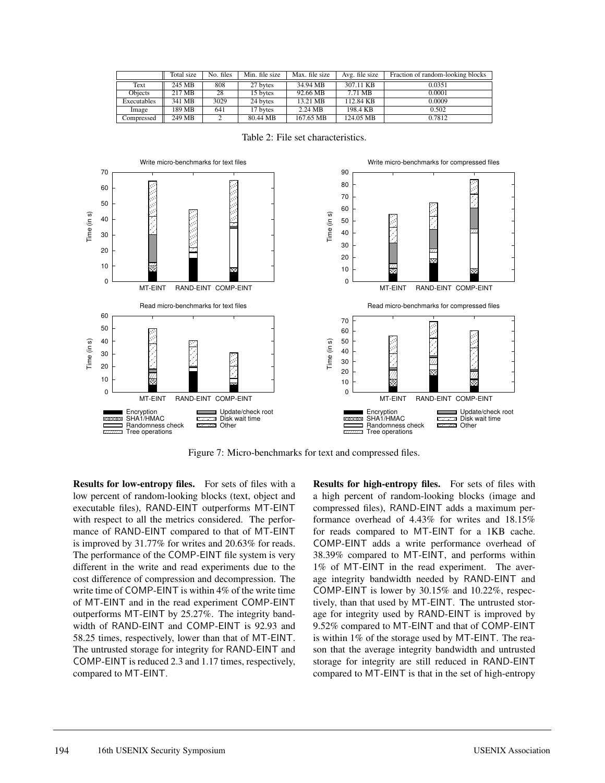|             | Total size | No. files | Min. file size | Max. file size    | Avg. file size | Fraction of random-looking blocks |
|-------------|------------|-----------|----------------|-------------------|----------------|-----------------------------------|
| Text        | 245 MB     | 808       | 27 bytes       | 34.94 MB          | 307.11 KB      | 0.0351                            |
| Objects     | 217 MB     | 28        | 15 bytes       | 92.66 MB          | 7.71 MB        | 0.0001                            |
| Executables | 341 MB     | 3029      | 24 bytes       | 13.21 MB          | 112.84 KB      | 0.0009                            |
| Image       | 189 MB     | 641       | 17 bytes       | $2.24 \text{ MB}$ | 198.4 KB       | 0.502                             |
| Compressed  | 249 MB     |           | 80.44 MB       | 167.65 MB         | 124.05 MB      | 0.7812                            |



Table 2: File set characteristics.

Figure 7: Micro-benchmarks for text and compressed files.

**Results for low-entropy files.** For sets of files with a low percent of random-looking blocks (text, object and executable files), RAND-EINT outperforms MT-EINT with respect to all the metrics considered. The performance of RAND-EINT compared to that of MT-EINT is improved by 31.77% for writes and 20.63% for reads. The performance of the COMP-EINT file system is very different in the write and read experiments due to the cost difference of compression and decompression. The write time of COMP-EINT is within 4% of the write time of MT-EINT and in the read experiment COMP-EINT outperforms MT-EINT by 25.27%. The integrity bandwidth of RAND-EINT and COMP-EINT is 92.93 and 58.25 times, respectively, lower than that of MT-EINT. The untrusted storage for integrity for RAND-EINT and COMP-EINT is reduced 2.3 and 1.17 times, respectively, compared to MT-EINT.

**Results for high-entropy files.** For sets of files with a high percent of random-looking blocks (image and compressed files), RAND-EINT adds a maximum performance overhead of 4.43% for writes and 18.15% for reads compared to MT-EINT for a 1KB cache. COMP-EINT adds a write performance overhead of 38.39% compared to MT-EINT, and performs within 1% of MT-EINT in the read experiment. The average integrity bandwidth needed by RAND-EINT and COMP-EINT is lower by 30.15% and 10.22%, respectively, than that used by MT-EINT. The untrusted storage for integrity used by RAND-EINT is improved by 9.52% compared to MT-EINT and that of COMP-EINT is within 1% of the storage used by MT-EINT. The reason that the average integrity bandwidth and untrusted storage for integrity are still reduced in RAND-EINT compared to MT-EINT is that in the set of high-entropy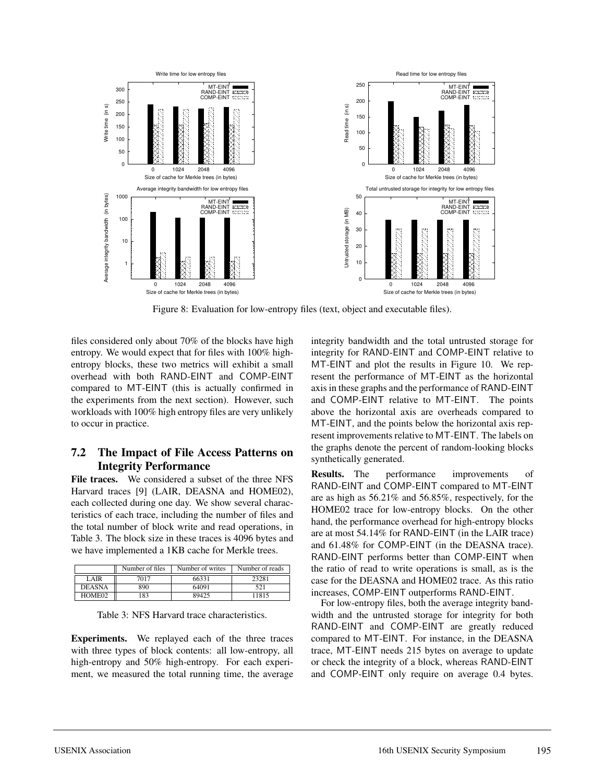

Figure 8: Evaluation for low-entropy files (text, object and executable files).

files considered only about 70% of the blocks have high entropy. We would expect that for files with 100% highentropy blocks, these two metrics will exhibit a small overhead with both RAND-EINT and COMP-EINT compared to MT-EINT (this is actually confirmed in the experiments from the next section). However, such workloads with 100% high entropy files are very unlikely to occur in practice.

### **7.2 The Impact of File Access Patterns on Integrity Performance**

**File traces.** We considered a subset of the three NFS Harvard traces [9] (LAIR, DEASNA and HOME02), each collected during one day. We show several characteristics of each trace, including the number of files and the total number of block write and read operations, in Table 3. The block size in these traces is 4096 bytes and we have implemented a 1KB cache for Merkle trees.

|               | Number of files | Number of writes | Number of reads |
|---------------|-----------------|------------------|-----------------|
| LAIR          | 7017            | 66331            | 23281           |
| <b>DEASNA</b> | 890             | 64091            | 521             |
| HOME02        | 83              | 89425            | 11815           |

|  |  |  | Table 3: NFS Harvard trace characteristics. |
|--|--|--|---------------------------------------------|
|--|--|--|---------------------------------------------|

**Experiments.** We replayed each of the three traces with three types of block contents: all low-entropy, all high-entropy and 50% high-entropy. For each experiment, we measured the total running time, the average integrity bandwidth and the total untrusted storage for integrity for RAND-EINT and COMP-EINT relative to MT-EINT and plot the results in Figure 10. We represent the performance of MT-EINT as the horizontal axis in these graphs and the performance of RAND-EINT and COMP-EINT relative to MT-EINT. The points above the horizontal axis are overheads compared to MT-EINT, and the points below the horizontal axis represent improvements relative to MT-EINT. The labels on the graphs denote the percent of random-looking blocks synthetically generated.

**Results.** The performance improvements of RAND-EINT and COMP-EINT compared to MT-EINT are as high as 56.21% and 56.85%, respectively, for the HOME02 trace for low-entropy blocks. On the other hand, the performance overhead for high-entropy blocks are at most 54.14% for RAND-EINT (in the LAIR trace) and 61.48% for COMP-EINT (in the DEASNA trace). RAND-EINT performs better than COMP-EINT when the ratio of read to write operations is small, as is the case for the DEASNA and HOME02 trace. As this ratio increases, COMP-EINT outperforms RAND-EINT.

For low-entropy files, both the average integrity bandwidth and the untrusted storage for integrity for both RAND-EINT and COMP-EINT are greatly reduced compared to MT-EINT. For instance, in the DEASNA trace, MT-EINT needs 215 bytes on average to update or check the integrity of a block, whereas RAND-EINT and COMP-EINT only require on average 0.4 bytes.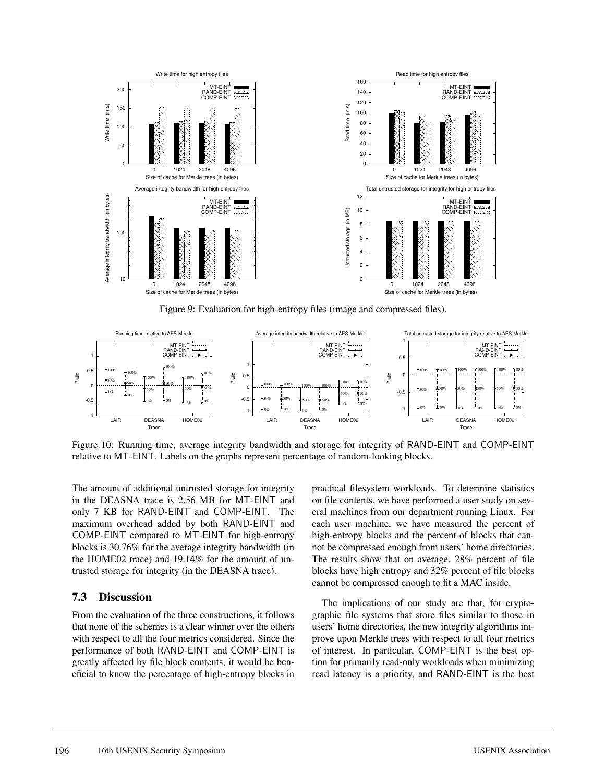

Figure 9: Evaluation for high-entropy files (image and compressed files).



Figure 10: Running time, average integrity bandwidth and storage for integrity of RAND-EINT and COMP-EINT relative to MT-EINT. Labels on the graphs represent percentage of random-looking blocks.

The amount of additional untrusted storage for integrity in the DEASNA trace is 2.56 MB for MT-EINT and only 7 KB for RAND-EINT and COMP-EINT. The maximum overhead added by both RAND-EINT and COMP-EINT compared to MT-EINT for high-entropy blocks is 30.76% for the average integrity bandwidth (in the HOME02 trace) and 19.14% for the amount of untrusted storage for integrity (in the DEASNA trace).

## **7.3 Discussion**

From the evaluation of the three constructions, it follows that none of the schemes is a clear winner over the others with respect to all the four metrics considered. Since the performance of both RAND-EINT and COMP-EINT is greatly affected by file block contents, it would be beneficial to know the percentage of high-entropy blocks in practical filesystem workloads. To determine statistics on file contents, we have performed a user study on several machines from our department running Linux. For each user machine, we have measured the percent of high-entropy blocks and the percent of blocks that cannot be compressed enough from users' home directories. The results show that on average, 28% percent of file blocks have high entropy and 32% percent of file blocks cannot be compressed enough to fit a MAC inside.

The implications of our study are that, for cryptographic file systems that store files similar to those in users' home directories, the new integrity algorithms improve upon Merkle trees with respect to all four metrics of interest. In particular, COMP-EINT is the best option for primarily read-only workloads when minimizing read latency is a priority, and RAND-EINT is the best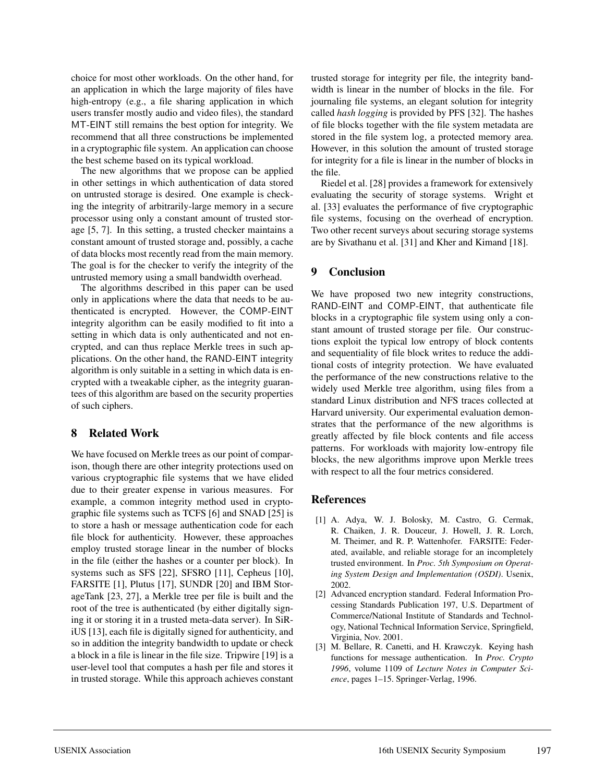choice for most other workloads. On the other hand, for an application in which the large majority of files have high-entropy (e.g., a file sharing application in which users transfer mostly audio and video files), the standard MT-EINT still remains the best option for integrity. We recommend that all three constructions be implemented in a cryptographic file system. An application can choose the best scheme based on its typical workload.

The new algorithms that we propose can be applied in other settings in which authentication of data stored on untrusted storage is desired. One example is checking the integrity of arbitrarily-large memory in a secure processor using only a constant amount of trusted storage [5, 7]. In this setting, a trusted checker maintains a constant amount of trusted storage and, possibly, a cache of data blocks most recently read from the main memory. The goal is for the checker to verify the integrity of the untrusted memory using a small bandwidth overhead.

The algorithms described in this paper can be used only in applications where the data that needs to be authenticated is encrypted. However, the COMP-EINT integrity algorithm can be easily modified to fit into a setting in which data is only authenticated and not encrypted, and can thus replace Merkle trees in such applications. On the other hand, the RAND-EINT integrity algorithm is only suitable in a setting in which data is encrypted with a tweakable cipher, as the integrity guarantees of this algorithm are based on the security properties of such ciphers.

#### **8 Related Work**

We have focused on Merkle trees as our point of comparison, though there are other integrity protections used on various cryptographic file systems that we have elided due to their greater expense in various measures. For example, a common integrity method used in cryptographic file systems such as TCFS [6] and SNAD [25] is to store a hash or message authentication code for each file block for authenticity. However, these approaches employ trusted storage linear in the number of blocks in the file (either the hashes or a counter per block). In systems such as SFS [22], SFSRO [11], Cepheus [10], FARSITE [1], Plutus [17], SUNDR [20] and IBM StorageTank [23, 27], a Merkle tree per file is built and the root of the tree is authenticated (by either digitally signing it or storing it in a trusted meta-data server). In SiRiUS [13], each file is digitally signed for authenticity, and so in addition the integrity bandwidth to update or check a block in a file is linear in the file size. Tripwire [19] is a user-level tool that computes a hash per file and stores it in trusted storage. While this approach achieves constant trusted storage for integrity per file, the integrity bandwidth is linear in the number of blocks in the file. For journaling file systems, an elegant solution for integrity called *hash logging* is provided by PFS [32]. The hashes of file blocks together with the file system metadata are stored in the file system log, a protected memory area. However, in this solution the amount of trusted storage for integrity for a file is linear in the number of blocks in the file.

Riedel et al. [28] provides a framework for extensively evaluating the security of storage systems. Wright et al. [33] evaluates the performance of five cryptographic file systems, focusing on the overhead of encryption. Two other recent surveys about securing storage systems are by Sivathanu et al. [31] and Kher and Kimand [18].

### **9 Conclusion**

We have proposed two new integrity constructions, RAND-EINT and COMP-EINT, that authenticate file blocks in a cryptographic file system using only a constant amount of trusted storage per file. Our constructions exploit the typical low entropy of block contents and sequentiality of file block writes to reduce the additional costs of integrity protection. We have evaluated the performance of the new constructions relative to the widely used Merkle tree algorithm, using files from a standard Linux distribution and NFS traces collected at Harvard university. Our experimental evaluation demonstrates that the performance of the new algorithms is greatly affected by file block contents and file access patterns. For workloads with majority low-entropy file blocks, the new algorithms improve upon Merkle trees with respect to all the four metrics considered.

#### **References**

- [1] A. Adya, W. J. Bolosky, M. Castro, G. Cermak, R. Chaiken, J. R. Douceur, J. Howell, J. R. Lorch, M. Theimer, and R. P. Wattenhofer. FARSITE: Federated, available, and reliable storage for an incompletely trusted environment. In *Proc. 5th Symposium on Operating System Design and Implementation (OSDI)*. Usenix, 2002.
- [2] Advanced encryption standard. Federal Information Processing Standards Publication 197, U.S. Department of Commerce/National Institute of Standards and Technology, National Technical Information Service, Springfield, Virginia, Nov. 2001.
- [3] M. Bellare, R. Canetti, and H. Krawczyk. Keying hash functions for message authentication. In *Proc. Crypto 1996*, volume 1109 of *Lecture Notes in Computer Science*, pages 1–15. Springer-Verlag, 1996.